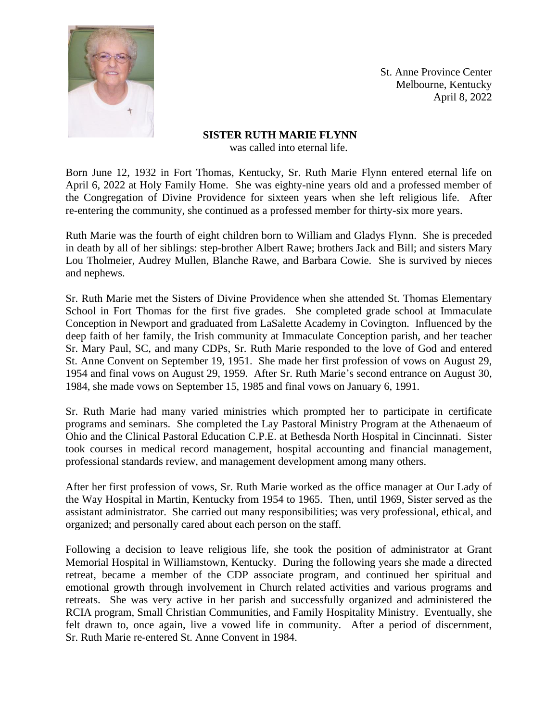

St. Anne Province Center Melbourne, Kentucky April 8, 2022

## **SISTER RUTH MARIE FLYNN** was called into eternal life.

Born June 12, 1932 in Fort Thomas, Kentucky, Sr. Ruth Marie Flynn entered eternal life on April 6, 2022 at Holy Family Home. She was eighty-nine years old and a professed member of the Congregation of Divine Providence for sixteen years when she left religious life. After re-entering the community, she continued as a professed member for thirty-six more years.

Ruth Marie was the fourth of eight children born to William and Gladys Flynn. She is preceded in death by all of her siblings: step-brother Albert Rawe; brothers Jack and Bill; and sisters Mary Lou Tholmeier, Audrey Mullen, Blanche Rawe, and Barbara Cowie. She is survived by nieces and nephews.

Sr. Ruth Marie met the Sisters of Divine Providence when she attended St. Thomas Elementary School in Fort Thomas for the first five grades. She completed grade school at Immaculate Conception in Newport and graduated from LaSalette Academy in Covington. Influenced by the deep faith of her family, the Irish community at Immaculate Conception parish, and her teacher Sr. Mary Paul, SC, and many CDPs, Sr. Ruth Marie responded to the love of God and entered St. Anne Convent on September 19, 1951. She made her first profession of vows on August 29, 1954 and final vows on August 29, 1959. After Sr. Ruth Marie's second entrance on August 30, 1984, she made vows on September 15, 1985 and final vows on January 6, 1991.

Sr. Ruth Marie had many varied ministries which prompted her to participate in certificate programs and seminars. She completed the Lay Pastoral Ministry Program at the Athenaeum of Ohio and the Clinical Pastoral Education C.P.E. at Bethesda North Hospital in Cincinnati. Sister took courses in medical record management, hospital accounting and financial management, professional standards review, and management development among many others.

After her first profession of vows, Sr. Ruth Marie worked as the office manager at Our Lady of the Way Hospital in Martin, Kentucky from 1954 to 1965. Then, until 1969, Sister served as the assistant administrator. She carried out many responsibilities; was very professional, ethical, and organized; and personally cared about each person on the staff.

Following a decision to leave religious life, she took the position of administrator at Grant Memorial Hospital in Williamstown, Kentucky. During the following years she made a directed retreat, became a member of the CDP associate program, and continued her spiritual and emotional growth through involvement in Church related activities and various programs and retreats. She was very active in her parish and successfully organized and administered the RCIA program, Small Christian Communities, and Family Hospitality Ministry. Eventually, she felt drawn to, once again, live a vowed life in community. After a period of discernment, Sr. Ruth Marie re-entered St. Anne Convent in 1984.